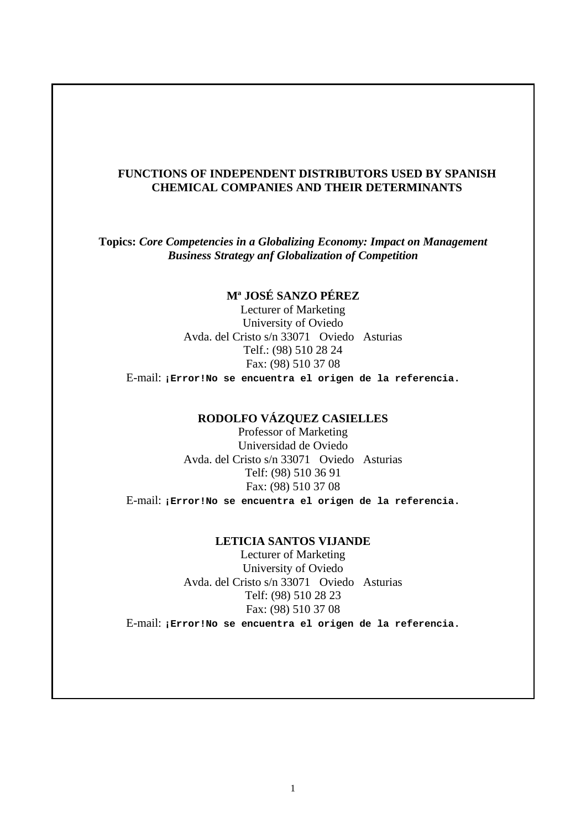# **FUNCTIONS OF INDEPENDENT DISTRIBUTORS USED BY SPANISH CHEMICAL COMPANIES AND THEIR DETERMINANTS**

**Topics:** *Core Competencies in a Globalizing Economy: Impact on Management Business Strategy anf Globalization of Competition*

# **Mª JOSÉ SANZO PÉREZ**

Lecturer of Marketing University of Oviedo Avda. del Cristo s/n 33071 Oviedo Asturias Telf.: (98) 510 28 24 Fax: (98) 510 37 08

E-mail: **¡Error!No se encuentra el origen de la referencia.**

# **RODOLFO VÁZQUEZ CASIELLES**

Professor of Marketing Universidad de Oviedo Avda. del Cristo s/n 33071 Oviedo Asturias Telf: (98) 510 36 91 Fax: (98) 510 37 08

E-mail: **¡Error!No se encuentra el origen de la referencia.**

#### **LETICIA SANTOS VIJANDE**

Lecturer of Marketing University of Oviedo Avda. del Cristo s/n 33071 Oviedo Asturias Telf: (98) 510 28 23 Fax: (98) 510 37 08 E-mail: **¡Error!No se encuentra el origen de la referencia.**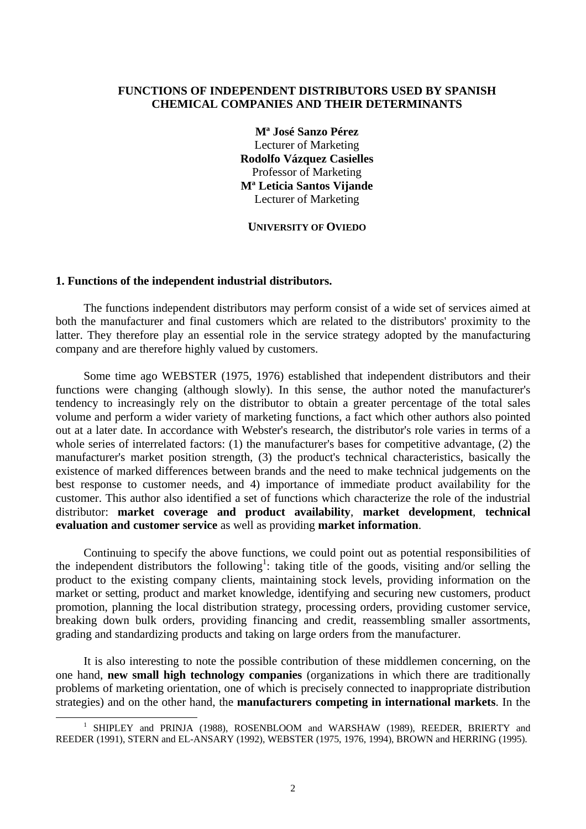# **FUNCTIONS OF INDEPENDENT DISTRIBUTORS USED BY SPANISH CHEMICAL COMPANIES AND THEIR DETERMINANTS**

**Mª José Sanzo Pérez** Lecturer of Marketing **Rodolfo Vázquez Casielles** Professor of Marketing **Mª Leticia Santos Vijande** Lecturer of Marketing

**UNIVERSITY OF OVIEDO**

## **1. Functions of the independent industrial distributors.**

 $\overline{a}$ 

The functions independent distributors may perform consist of a wide set of services aimed at both the manufacturer and final customers which are related to the distributors' proximity to the latter. They therefore play an essential role in the service strategy adopted by the manufacturing company and are therefore highly valued by customers.

Some time ago WEBSTER (1975, 1976) established that independent distributors and their functions were changing (although slowly). In this sense, the author noted the manufacturer's tendency to increasingly rely on the distributor to obtain a greater percentage of the total sales volume and perform a wider variety of marketing functions, a fact which other authors also pointed out at a later date. In accordance with Webster's research, the distributor's role varies in terms of a whole series of interrelated factors: (1) the manufacturer's bases for competitive advantage, (2) the manufacturer's market position strength, (3) the product's technical characteristics, basically the existence of marked differences between brands and the need to make technical judgements on the best response to customer needs, and 4) importance of immediate product availability for the customer. This author also identified a set of functions which characterize the role of the industrial distributor: **market coverage and product availability**, **market development**, **technical evaluation and customer service** as well as providing **market information**.

Continuing to specify the above functions, we could point out as potential responsibilities of the independent distributors the following<sup>1</sup>: taking title of the goods, visiting and/or selling the product to the existing company clients, maintaining stock levels, providing information on the market or setting, product and market knowledge, identifying and securing new customers, product promotion, planning the local distribution strategy, processing orders, providing customer service, breaking down bulk orders, providing financing and credit, reassembling smaller assortments, grading and standardizing products and taking on large orders from the manufacturer.

It is also interesting to note the possible contribution of these middlemen concerning, on the one hand, **new small high technology companies** (organizations in which there are traditionally problems of marketing orientation, one of which is precisely connected to inappropriate distribution strategies) and on the other hand, the **manufacturers competing in international markets**. In the

<sup>&</sup>lt;sup>1</sup> SHIPLEY and PRINJA (1988), ROSENBLOOM and WARSHAW (1989), REEDER, BRIERTY and REEDER (1991), STERN and EL-ANSARY (1992), WEBSTER (1975, 1976, 1994), BROWN and HERRING (1995).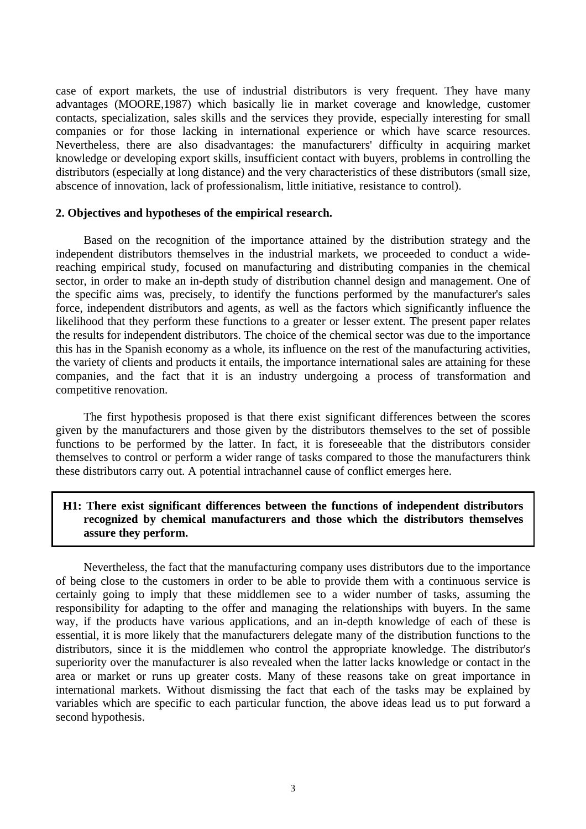case of export markets, the use of industrial distributors is very frequent. They have many advantages (MOORE,1987) which basically lie in market coverage and knowledge, customer contacts, specialization, sales skills and the services they provide, especially interesting for small companies or for those lacking in international experience or which have scarce resources. Nevertheless, there are also disadvantages: the manufacturers' difficulty in acquiring market knowledge or developing export skills, insufficient contact with buyers, problems in controlling the distributors (especially at long distance) and the very characteristics of these distributors (small size, abscence of innovation, lack of professionalism, little initiative, resistance to control).

## **2. Objectives and hypotheses of the empirical research.**

Based on the recognition of the importance attained by the distribution strategy and the independent distributors themselves in the industrial markets, we proceeded to conduct a widereaching empirical study, focused on manufacturing and distributing companies in the chemical sector, in order to make an in-depth study of distribution channel design and management. One of the specific aims was, precisely, to identify the functions performed by the manufacturer's sales force, independent distributors and agents, as well as the factors which significantly influence the likelihood that they perform these functions to a greater or lesser extent. The present paper relates the results for independent distributors. The choice of the chemical sector was due to the importance this has in the Spanish economy as a whole, its influence on the rest of the manufacturing activities, the variety of clients and products it entails, the importance international sales are attaining for these companies, and the fact that it is an industry undergoing a process of transformation and competitive renovation.

The first hypothesis proposed is that there exist significant differences between the scores given by the manufacturers and those given by the distributors themselves to the set of possible functions to be performed by the latter. In fact, it is foreseeable that the distributors consider themselves to control or perform a wider range of tasks compared to those the manufacturers think these distributors carry out. A potential intrachannel cause of conflict emerges here.

# **H1: There exist significant differences between the functions of independent distributors recognized by chemical manufacturers and those which the distributors themselves assure they perform.**

Nevertheless, the fact that the manufacturing company uses distributors due to the importance of being close to the customers in order to be able to provide them with a continuous service is certainly going to imply that these middlemen see to a wider number of tasks, assuming the responsibility for adapting to the offer and managing the relationships with buyers. In the same way, if the products have various applications, and an in-depth knowledge of each of these is essential, it is more likely that the manufacturers delegate many of the distribution functions to the distributors, since it is the middlemen who control the appropriate knowledge. The distributor's superiority over the manufacturer is also revealed when the latter lacks knowledge or contact in the area or market or runs up greater costs. Many of these reasons take on great importance in international markets. Without dismissing the fact that each of the tasks may be explained by variables which are specific to each particular function, the above ideas lead us to put forward a second hypothesis.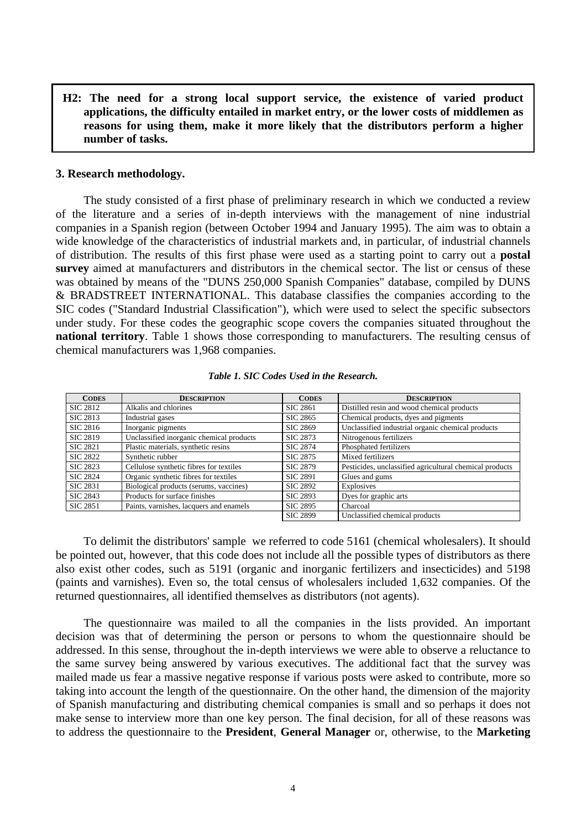**H2: The need for a strong local support service, the existence of varied product applications, the difficulty entailed in market entry, or the lower costs of middlemen as reasons for using them, make it more likely that the distributors perform a higher number of tasks.**

#### **3. Research methodology.**

The study consisted of a first phase of preliminary research in which we conducted a review of the literature and a series of in-depth interviews with the management of nine industrial companies in a Spanish region (between October 1994 and January 1995). The aim was to obtain a wide knowledge of the characteristics of industrial markets and, in particular, of industrial channels of distribution. The results of this first phase were used as a starting point to carry out a **postal survey** aimed at manufacturers and distributors in the chemical sector. The list or census of these was obtained by means of the "DUNS 250,000 Spanish Companies" database, compiled by DUNS & BRADSTREET INTERNATIONAL. This database classifies the companies according to the SIC codes ("Standard Industrial Classification"), which were used to select the specific subsectors under study. For these codes the geographic scope covers the companies situated throughout the **national territory**. Table 1 shows those corresponding to manufacturers. The resulting census of chemical manufacturers was 1,968 companies.

| <b>CODES</b>    | <b>DESCRIPTION</b>                       | <b>CODES</b>    | <b>DESCRIPTION</b>                                      |
|-----------------|------------------------------------------|-----------------|---------------------------------------------------------|
| <b>SIC 2812</b> | Alkalis and chlorines                    | <b>SIC 2861</b> | Distilled resin and wood chemical products              |
| SIC 2813        | Industrial gases                         | <b>SIC 2865</b> | Chemical products, dyes and pigments                    |
| SIC 2816        | Inorganic pigments                       | <b>SIC 2869</b> | Unclassified industrial organic chemical products       |
| <b>SIC 2819</b> | Unclassified inorganic chemical products | SIC 2873        | Nitrogenous fertilizers                                 |
| <b>SIC 2821</b> | Plastic materials, synthetic resins      | <b>SIC 2874</b> | Phosphated fertilizers                                  |
| <b>SIC 2822</b> | Synthetic rubber                         | <b>SIC 2875</b> | Mixed fertilizers                                       |
| <b>SIC 2823</b> | Cellulose synthetic fibres for textiles  | <b>SIC 2879</b> | Pesticides, unclassified agricultural chemical products |
| <b>SIC 2824</b> | Organic synthetic fibres for textiles    | <b>SIC 2891</b> | Glues and gums                                          |
| <b>SIC 2831</b> | Biological products (serums, vaccines)   | <b>SIC 2892</b> | Explosives                                              |
| <b>SIC 2843</b> | Products for surface finishes            | <b>SIC 2893</b> | Dyes for graphic arts                                   |
| <b>SIC 2851</b> | Paints, varnishes, lacquers and enamels  | <b>SIC 2895</b> | Charcoal                                                |
|                 |                                          | <b>SIC 2899</b> | Unclassified chemical products                          |

*Table 1. SIC Codes Used in the Research.*

To delimit the distributors' sample we referred to code 5161 (chemical wholesalers). It should be pointed out, however, that this code does not include all the possible types of distributors as there also exist other codes, such as 5191 (organic and inorganic fertilizers and insecticides) and 5198 (paints and varnishes). Even so, the total census of wholesalers included 1,632 companies. Of the returned questionnaires, all identified themselves as distributors (not agents).

The questionnaire was mailed to all the companies in the lists provided. An important decision was that of determining the person or persons to whom the questionnaire should be addressed. In this sense, throughout the in-depth interviews we were able to observe a reluctance to the same survey being answered by various executives. The additional fact that the survey was mailed made us fear a massive negative response if various posts were asked to contribute, more so taking into account the length of the questionnaire. On the other hand, the dimension of the majority of Spanish manufacturing and distributing chemical companies is small and so perhaps it does not make sense to interview more than one key person. The final decision, for all of these reasons was to address the questionnaire to the **President**, **General Manager** or, otherwise, to the **Marketing**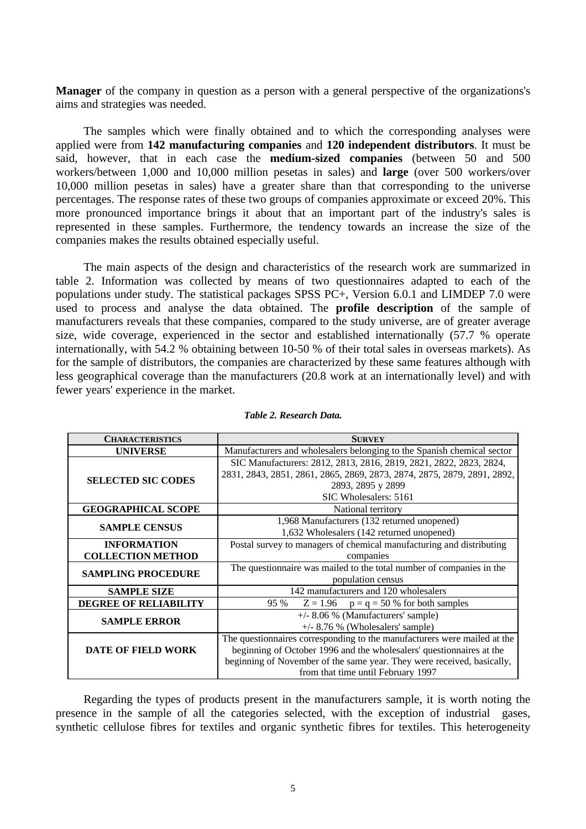**Manager** of the company in question as a person with a general perspective of the organizations's aims and strategies was needed.

The samples which were finally obtained and to which the corresponding analyses were applied were from **142 manufacturing companies** and **120 independent distributors**. It must be said, however, that in each case the **medium-sized companies** (between 50 and 500 workers/between 1,000 and 10,000 million pesetas in sales) and **large** (over 500 workers/over 10,000 million pesetas in sales) have a greater share than that corresponding to the universe percentages. The response rates of these two groups of companies approximate or exceed 20%. This more pronounced importance brings it about that an important part of the industry's sales is represented in these samples. Furthermore, the tendency towards an increase the size of the companies makes the results obtained especially useful.

The main aspects of the design and characteristics of the research work are summarized in table 2. Information was collected by means of two questionnaires adapted to each of the populations under study. The statistical packages SPSS PC+, Version 6.0.1 and LIMDEP 7.0 were used to process and analyse the data obtained. The **profile description** of the sample of manufacturers reveals that these companies, compared to the study universe, are of greater average size, wide coverage, experienced in the sector and established internationally (57.7 % operate internationally, with 54.2 % obtaining between 10-50 % of their total sales in overseas markets). As for the sample of distributors, the companies are characterized by these same features although with less geographical coverage than the manufacturers (20.8 work at an internationally level) and with fewer years' experience in the market.

| <b>CHARACTERISTICS</b>       | <b>SURVEY</b>                                                            |  |  |
|------------------------------|--------------------------------------------------------------------------|--|--|
| <b>UNIVERSE</b>              | Manufacturers and wholesalers belonging to the Spanish chemical sector   |  |  |
|                              | SIC Manufacturers: 2812, 2813, 2816, 2819, 2821, 2822, 2823, 2824,       |  |  |
| <b>SELECTED SIC CODES</b>    | 2831, 2843, 2851, 2861, 2865, 2869, 2873, 2874, 2875, 2879, 2891, 2892,  |  |  |
|                              | 2893, 2895 y 2899                                                        |  |  |
|                              | SIC Wholesalers: 5161                                                    |  |  |
| <b>GEOGRAPHICAL SCOPE</b>    | National territory                                                       |  |  |
| <b>SAMPLE CENSUS</b>         | 1,968 Manufacturers (132 returned unopened)                              |  |  |
|                              | 1,632 Wholesalers (142 returned unopened)                                |  |  |
| <b>INFORMATION</b>           | Postal survey to managers of chemical manufacturing and distributing     |  |  |
| <b>COLLECTION METHOD</b>     | companies                                                                |  |  |
| <b>SAMPLING PROCEDURE</b>    | The questionnaire was mailed to the total number of companies in the     |  |  |
|                              | population census                                                        |  |  |
| <b>SAMPLE SIZE</b>           | 142 manufacturers and 120 wholesalers                                    |  |  |
| <b>DEGREE OF RELIABILITY</b> | $Z = 1.96$ $p = q = 50 %$ for both samples<br>95 %                       |  |  |
|                              | $+/-$ 8.06 % (Manufacturers' sample)                                     |  |  |
| <b>SAMPLE ERROR</b>          | $+/-$ 8.76 % (Wholesalers' sample)                                       |  |  |
|                              | The questionnaires corresponding to the manufacturers were mailed at the |  |  |
| <b>DATE OF FIELD WORK</b>    | beginning of October 1996 and the wholesalers' questionnaires at the     |  |  |
|                              | beginning of November of the same year. They were received, basically,   |  |  |
|                              | from that time until February 1997                                       |  |  |

## *Table 2. Research Data.*

Regarding the types of products present in the manufacturers sample, it is worth noting the presence in the sample of all the categories selected, with the exception of industrial gases, synthetic cellulose fibres for textiles and organic synthetic fibres for textiles. This heterogeneity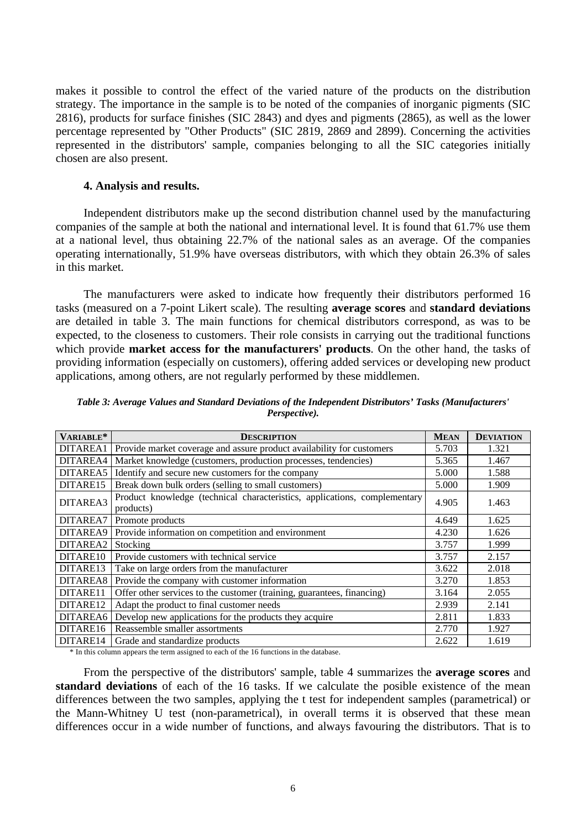makes it possible to control the effect of the varied nature of the products on the distribution strategy. The importance in the sample is to be noted of the companies of inorganic pigments (SIC 2816), products for surface finishes (SIC 2843) and dyes and pigments (2865), as well as the lower percentage represented by "Other Products" (SIC 2819, 2869 and 2899). Concerning the activities represented in the distributors' sample, companies belonging to all the SIC categories initially chosen are also present.

## **4. Analysis and results.**

Independent distributors make up the second distribution channel used by the manufacturing companies of the sample at both the national and international level. It is found that 61.7% use them at a national level, thus obtaining 22.7% of the national sales as an average. Of the companies operating internationally, 51.9% have overseas distributors, with which they obtain 26.3% of sales in this market.

The manufacturers were asked to indicate how frequently their distributors performed 16 tasks (measured on a 7-point Likert scale). The resulting **average scores** and **standard deviations** are detailed in table 3. The main functions for chemical distributors correspond, as was to be expected, to the closeness to customers. Their role consists in carrying out the traditional functions which provide **market access for the manufacturers' products**. On the other hand, the tasks of providing information (especially on customers), offering added services or developing new product applications, among others, are not regularly performed by these middlemen.

| VARIABLE* | <b>DESCRIPTION</b>                                                                     | <b>MEAN</b> | <b>DEVIATION</b> |
|-----------|----------------------------------------------------------------------------------------|-------------|------------------|
| DITAREA1  | Provide market coverage and assure product availability for customers                  | 5.703       | 1.321            |
| DITAREA4  | Market knowledge (customers, production processes, tendencies)                         | 5.365       | 1.467            |
| DITAREA5  | Identify and secure new customers for the company                                      | 5.000       | 1.588            |
| DITARE15  | Break down bulk orders (selling to small customers)                                    | 5.000       | 1.909            |
| DITAREA3  | Product knowledge (technical characteristics, applications, complementary<br>products) | 4.905       | 1.463            |
| DITAREA7  | Promote products                                                                       | 4.649       | 1.625            |
| DITAREA9  | Provide information on competition and environment                                     | 4.230       | 1.626            |
| DITAREA2  | Stocking                                                                               | 3.757       | 1.999            |
| DITARE10  | Provide customers with technical service                                               | 3.757       | 2.157            |
| DITARE13  | Take on large orders from the manufacturer                                             | 3.622       | 2.018            |
| DITAREA8  | Provide the company with customer information                                          | 3.270       | 1.853            |
| DITARE11  | Offer other services to the customer (training, guarantees, financing)                 | 3.164       | 2.055            |
| DITARE12  | Adapt the product to final customer needs                                              | 2.939       | 2.141            |
| DITAREA6  | Develop new applications for the products they acquire                                 | 2.811       | 1.833            |
| DITARE16  | Reassemble smaller assortments                                                         | 2.770       | 1.927            |
| DITARE14  | Grade and standardize products                                                         | 2.622       | 1.619            |

*Table 3: Average Values and Standard Deviations of the Independent Distributors' Tasks (Manufacturers' Perspective).*

\* In this column appears the term assigned to each of the 16 functions in the database.

From the perspective of the distributors' sample, table 4 summarizes the **average scores** and **standard deviations** of each of the 16 tasks. If we calculate the posible existence of the mean differences between the two samples, applying the t test for independent samples (parametrical) or the Mann-Whitney U test (non-parametrical), in overall terms it is observed that these mean differences occur in a wide number of functions, and always favouring the distributors. That is to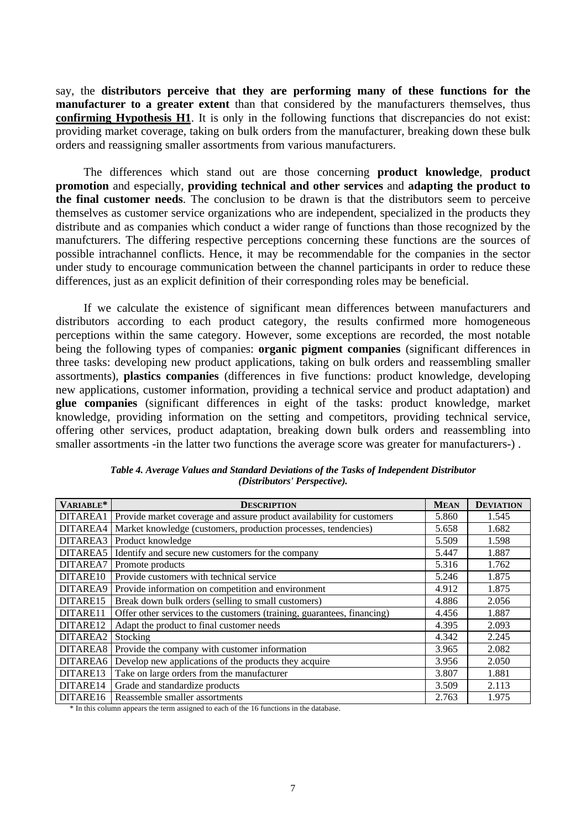say, the **distributors perceive that they are performing many of these functions for the manufacturer to a greater extent** than that considered by the manufacturers themselves, thus **confirming Hypothesis H1**. It is only in the following functions that discrepancies do not exist: providing market coverage, taking on bulk orders from the manufacturer, breaking down these bulk orders and reassigning smaller assortments from various manufacturers.

The differences which stand out are those concerning **product knowledge**, **product promotion** and especially, **providing technical and other services** and **adapting the product to the final customer needs**. The conclusion to be drawn is that the distributors seem to perceive themselves as customer service organizations who are independent, specialized in the products they distribute and as companies which conduct a wider range of functions than those recognized by the manufcturers. The differing respective perceptions concerning these functions are the sources of possible intrachannel conflicts. Hence, it may be recommendable for the companies in the sector under study to encourage communication between the channel participants in order to reduce these differences, just as an explicit definition of their corresponding roles may be beneficial.

If we calculate the existence of significant mean differences between manufacturers and distributors according to each product category, the results confirmed more homogeneous perceptions within the same category. However, some exceptions are recorded, the most notable being the following types of companies: **organic pigment companies** (significant differences in three tasks: developing new product applications, taking on bulk orders and reassembling smaller assortments), **plastics companies** (differences in five functions: product knowledge, developing new applications, customer information, providing a technical service and product adaptation) and **glue companies** (significant differences in eight of the tasks: product knowledge, market knowledge, providing information on the setting and competitors, providing technical service, offering other services, product adaptation, breaking down bulk orders and reassembling into smaller assortments -in the latter two functions the average score was greater for manufacturers-) .

| VARIABLE* | <b>DESCRIPTION</b>                                                      | <b>MEAN</b> | <b>DEVIATION</b> |
|-----------|-------------------------------------------------------------------------|-------------|------------------|
| DITAREA1  | Provide market coverage and assure product availability for customers   | 5.860       | 1.545            |
| DITAREA4  | Market knowledge (customers, production processes, tendencies)          | 5.658       | 1.682            |
| DITAREA3  | Product knowledge                                                       | 5.509       | 1.598            |
| DITAREA5  | Identify and secure new customers for the company                       | 5.447       | 1.887            |
| DITAREA7  | Promote products                                                        | 5.316       | 1.762            |
| DITARE10  | Provide customers with technical service                                | 5.246       | 1.875            |
| DITAREA9  | Provide information on competition and environment                      | 4.912       | 1.875            |
| DITARE15  | Break down bulk orders (selling to small customers)                     | 4.886       | 2.056            |
| DITARE11  | Offer other services to the customers (training, guarantees, financing) | 4.456       | 1.887            |
| DITARE12  | Adapt the product to final customer needs                               | 4.395       | 2.093            |
| DITAREA2  | Stocking                                                                | 4.342       | 2.245            |
| DITAREA8  | Provide the company with customer information                           | 3.965       | 2.082            |
| DITAREA6  | Develop new applications of the products they acquire                   | 3.956       | 2.050            |
| DITARE13  | Take on large orders from the manufacturer                              | 3.807       | 1.881            |
| DITARE14  | Grade and standardize products                                          | 3.509       | 2.113            |
| DITARE16  | Reassemble smaller assortments                                          | 2.763       | 1.975            |

*Table 4. Average Values and Standard Deviations of the Tasks of Independent Distributor (Distributors' Perspective).*

\* In this column appears the term assigned to each of the 16 functions in the database.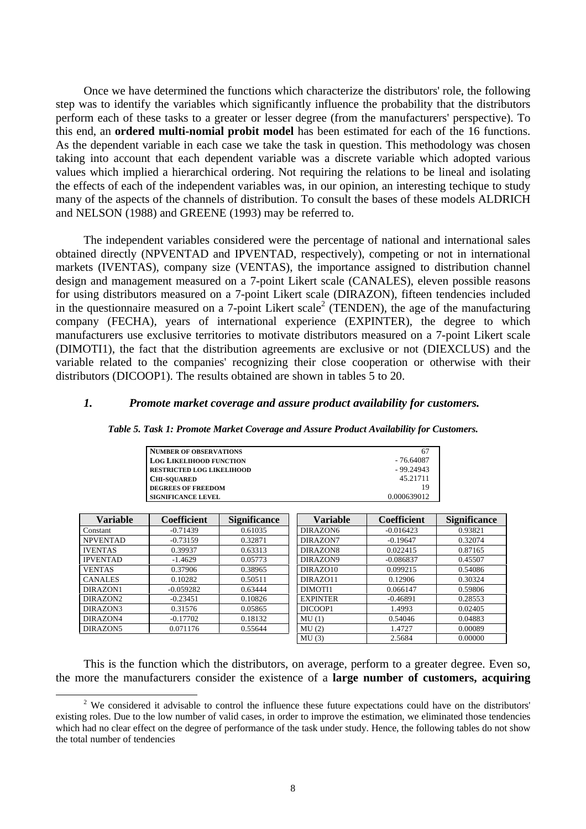Once we have determined the functions which characterize the distributors' role, the following step was to identify the variables which significantly influence the probability that the distributors perform each of these tasks to a greater or lesser degree (from the manufacturers' perspective). To this end, an **ordered multi-nomial probit model** has been estimated for each of the 16 functions. As the dependent variable in each case we take the task in question. This methodology was chosen taking into account that each dependent variable was a discrete variable which adopted various values which implied a hierarchical ordering. Not requiring the relations to be lineal and isolating the effects of each of the independent variables was, in our opinion, an interesting techique to study many of the aspects of the channels of distribution. To consult the bases of these models ALDRICH and NELSON (1988) and GREENE (1993) may be referred to.

The independent variables considered were the percentage of national and international sales obtained directly (NPVENTAD and IPVENTAD, respectively), competing or not in international markets (IVENTAS), company size (VENTAS), the importance assigned to distribution channel design and management measured on a 7-point Likert scale (CANALES), eleven possible reasons for using distributors measured on a 7-point Likert scale (DIRAZON), fifteen tendencies included in the questionnaire measured on a 7-point Likert scale<sup>2</sup> (TENDEN), the age of the manufacturing company (FECHA), years of international experience (EXPINTER), the degree to which manufacturers use exclusive territories to motivate distributors measured on a 7-point Likert scale (DIMOTI1), the fact that the distribution agreements are exclusive or not (DIEXCLUS) and the variable related to the companies' recognizing their close cooperation or otherwise with their distributors (DICOOP1). The results obtained are shown in tables 5 to 20.

## *1. Promote market coverage and assure product availability for customers.*

| <b>NUMBER OF OBSERVATIONS</b>    | 67          |
|----------------------------------|-------------|
| <b>LOG LIKELIHOOD FUNCTION</b>   | - 76.64087  |
| <b>RESTRICTED LOG LIKELIHOOD</b> | $-99.24943$ |
| <b>CHI-SOUARED</b>               | 45.21711    |
| <b>DEGREES OF FREEDOM</b>        | 19          |
| <b>SIGNIFICANCE LEVEL</b>        | 0.000639012 |

|  |  |  | Table 5. Task 1: Promote Market Coverage and Assure Product Availability for Customers. |  |
|--|--|--|-----------------------------------------------------------------------------------------|--|
|  |  |  |                                                                                         |  |

| Variable        | <b>Coefficient</b> | <b>Significance</b> | Variable        | <b>Coefficient</b> | <b>Significance</b> |
|-----------------|--------------------|---------------------|-----------------|--------------------|---------------------|
| Constant        | $-0.71439$         | 0.61035             | DIRAZON6        | $-0.016423$        | 0.93821             |
| <b>NPVENTAD</b> | $-0.73159$         | 0.32871             | DIRAZON7        | $-0.19647$         | 0.32074             |
| <b>IVENTAS</b>  | 0.39937            | 0.63313             | DIRAZON8        | 0.022415           | 0.87165             |
| <b>IPVENTAD</b> | $-1.4629$          | 0.05773             | DIRAZON9        | $-0.086837$        | 0.45507             |
| <b>VENTAS</b>   | 0.37906            | 0.38965             | DIRAZO10        | 0.099215           | 0.54086             |
| <b>CANALES</b>  | 0.10282            | 0.50511             | DIRAZ011        | 0.12906            | 0.30324             |
| DIRAZON1        | $-0.059282$        | 0.63444             | DIMOTI1         | 0.066147           | 0.59806             |
| DIRAZON2        | $-0.23451$         | 0.10826             | <b>EXPINTER</b> | $-0.46891$         | 0.28553             |
| DIRAZON3        | 0.31576            | 0.05865             | DICOOP1         | 1.4993             | 0.02405             |
| DIRAZON4        | $-0.17702$         | 0.18132             | MU(1)           | 0.54046            | 0.04883             |
| DIRAZON5        | 0.071176           | 0.55644             | MU(2)           | 1.4727             | 0.00089             |
|                 |                    |                     | MU(3)           | 2.5684             | 0.00000             |

This is the function which the distributors, on average, perform to a greater degree. Even so, the more the manufacturers consider the existence of a **large number of customers, acquiring**

 $\overline{a}$ 

 $2$  We considered it advisable to control the influence these future expectations could have on the distributors' existing roles. Due to the low number of valid cases, in order to improve the estimation, we eliminated those tendencies which had no clear effect on the degree of performance of the task under study. Hence, the following tables do not show the total number of tendencies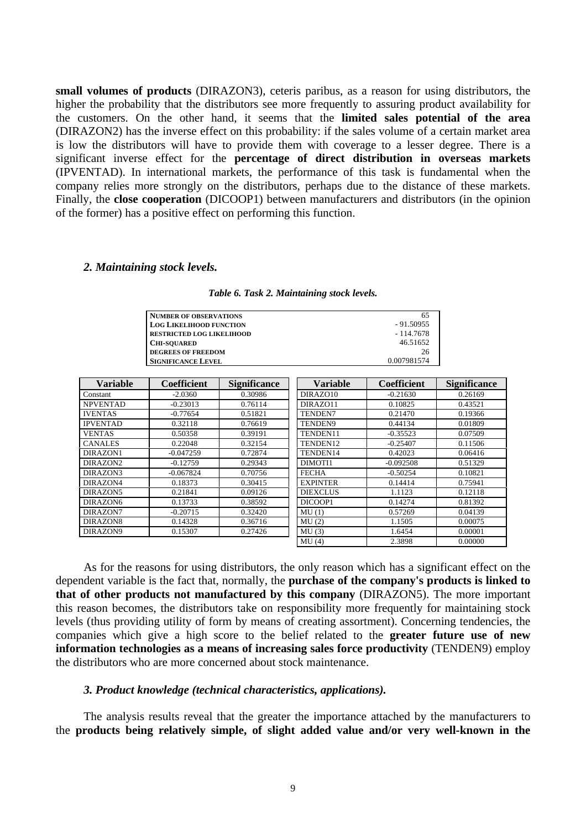**small volumes of products** (DIRAZON3), ceteris paribus, as a reason for using distributors, the higher the probability that the distributors see more frequently to assuring product availability for the customers. On the other hand, it seems that the **limited sales potential of the area** (DIRAZON2) has the inverse effect on this probability: if the sales volume of a certain market area is low the distributors will have to provide them with coverage to a lesser degree. There is a significant inverse effect for the **percentage of direct distribution in overseas markets** (IPVENTAD). In international markets, the performance of this task is fundamental when the company relies more strongly on the distributors, perhaps due to the distance of these markets. Finally, the **close cooperation** (DICOOP1) between manufacturers and distributors (in the opinion of the former) has a positive effect on performing this function.

## *2. Maintaining stock levels.*

| NUMBER OF OBSERVATIONS           | 65          |
|----------------------------------|-------------|
| <b>LOG LIKELIHOOD FUNCTION</b>   | $-91.50955$ |
| <b>RESTRICTED LOG LIKELIHOOD</b> | - 114.7678  |
| <b>CHI-SOUARED</b>               | 46.51652    |
| <b>DEGREES OF FREEDOM</b>        | 26          |
| <b>SIGNIFICANCE LEVEL</b>        | 0.007981574 |

| <b>Variable</b> | Coefficient | <b>Significance</b> | <b>Variable</b> | <b>Coefficient</b> | <b>Significance</b> |
|-----------------|-------------|---------------------|-----------------|--------------------|---------------------|
| Constant        | $-2.0360$   | 0.30986             | DIRAZO10        | $-0.21630$         | 0.26169             |
| <b>NPVENTAD</b> | $-0.23013$  | 0.76114             | DIRAZ011        | 0.10825            | 0.43521             |
| <b>IVENTAS</b>  | $-0.77654$  | 0.51821             | <b>TENDEN7</b>  | 0.21470            | 0.19366             |
| <b>IPVENTAD</b> | 0.32118     | 0.76619             | <b>TENDEN9</b>  | 0.44134            | 0.01809             |
| <b>VENTAS</b>   | 0.50358     | 0.39191             | TENDEN11        | $-0.35523$         | 0.07509             |
| <b>CANALES</b>  | 0.22048     | 0.32154             | TENDEN12        | $-0.25407$         | 0.11506             |
| DIRAZON1        | $-0.047259$ | 0.72874             | TENDEN14        | 0.42023            | 0.06416             |
| DIRAZON2        | $-0.12759$  | 0.29343             | DIMOTI1         | $-0.092508$        | 0.51329             |
| DIRAZON3        | $-0.067824$ | 0.70756             | <b>FECHA</b>    | $-0.50254$         | 0.10821             |
| DIRAZON4        | 0.18373     | 0.30415             | <b>EXPINTER</b> | 0.14414            | 0.75941             |
| DIRAZON5        | 0.21841     | 0.09126             | <b>DIEXCLUS</b> | 1.1123             | 0.12118             |
| DIRAZON6        | 0.13733     | 0.38592             | DICOOP1         | 0.14274            | 0.81392             |
| DIRAZON7        | $-0.20715$  | 0.32420             | MU(1)           | 0.57269            | 0.04139             |
| DIRAZON8        | 0.14328     | 0.36716             | MU(2)           | 1.1505             | 0.00075             |
| DIRAZON9        | 0.15307     | 0.27426             | MU(3)           | 1.6454             | 0.00001             |
|                 |             |                     | MU(4)           | 2.3898             | 0.00000             |

As for the reasons for using distributors, the only reason which has a significant effect on the dependent variable is the fact that, normally, the **purchase of the company's products is linked to that of other products not manufactured by this company** (DIRAZON5). The more important this reason becomes, the distributors take on responsibility more frequently for maintaining stock levels (thus providing utility of form by means of creating assortment). Concerning tendencies, the companies which give a high score to the belief related to the **greater future use of new information technologies as a means of increasing sales force productivity** (TENDEN9) employ the distributors who are more concerned about stock maintenance.

#### *3. Product knowledge (technical characteristics, applications).*

The analysis results reveal that the greater the importance attached by the manufacturers to the **products being relatively simple, of slight added value and/or very well-known in the**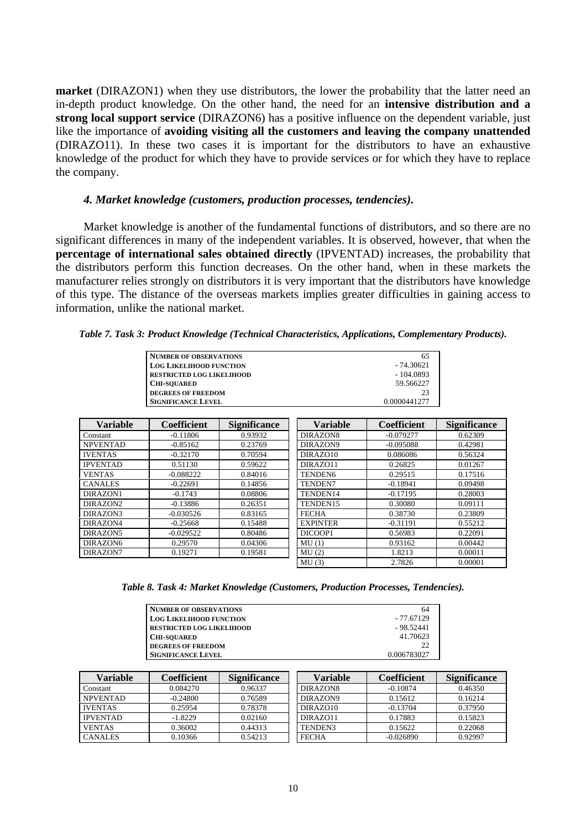**market** (DIRAZON1) when they use distributors, the lower the probability that the latter need an in-depth product knowledge. On the other hand, the need for an **intensive distribution and a strong local support service** (DIRAZON6) has a positive influence on the dependent variable, just like the importance of **avoiding visiting all the customers and leaving the company unattended** (DIRAZO11). In these two cases it is important for the distributors to have an exhaustive knowledge of the product for which they have to provide services or for which they have to replace the company.

# *4. Market knowledge (customers, production processes, tendencies).*

Market knowledge is another of the fundamental functions of distributors, and so there are no significant differences in many of the independent variables. It is observed, however, that when the **percentage of international sales obtained directly** (IPVENTAD) increases, the probability that the distributors perform this function decreases. On the other hand, when in these markets the manufacturer relies strongly on distributors it is very important that the distributors have knowledge of this type. The distance of the overseas markets implies greater difficulties in gaining access to information, unlike the national market.

*Table 7. Task 3: Product Knowledge (Technical Characteristics, Applications, Complementary Products).*

| <b>NUMBER OF OBSERVATIONS</b>    | 65           |
|----------------------------------|--------------|
| <b>LOG LIKELIHOOD FUNCTION</b>   | $-74.30621$  |
| <b>RESTRICTED LOG LIKELIHOOD</b> | $-104.0893$  |
| <b>CHI-SOUARED</b>               | 59.566227    |
| <b>DEGREES OF FREEDOM</b>        | 23           |
| <b>SIGNIFICANCE LEVEL</b>        | 0.0000441277 |

| <b>Variable</b> | <b>Coefficient</b> | <b>Significance</b> | <b>Variable</b>     | <b>Coefficient</b> | <b>Significance</b> |
|-----------------|--------------------|---------------------|---------------------|--------------------|---------------------|
| Constant        | $-0.11806$         | 0.93932             | DIRAZON8            | $-0.079277$        | 0.62309             |
| <b>NPVENTAD</b> | $-0.85162$         | 0.23769             | DIRAZON9            | $-0.095088$        | 0.42981             |
| <b>IVENTAS</b>  | $-0.32170$         | 0.70594             | DIRAZO10            | 0.086086           | 0.56324             |
| <b>IPVENTAD</b> | 0.51130            | 0.59622             | DIRAZ011            | 0.26825            | 0.01267             |
| <b>VENTAS</b>   | $-0.088222$        | 0.84016             | TENDEN <sub>6</sub> | 0.29515            | 0.17516             |
| <b>CANALES</b>  | $-0.22691$         | 0.14856             | TENDEN7             | $-0.18941$         | 0.09498             |
| DIRAZON1        | $-0.1743$          | 0.08806             | TENDEN14            | $-0.17195$         | 0.28003             |
| DIRAZON2        | $-0.13886$         | 0.26351             | TENDEN15            | 0.30080            | 0.09111             |
| DIRAZON3        | $-0.030526$        | 0.83165             | <b>FECHA</b>        | 0.38730            | 0.23809             |
| DIRAZON4        | $-0.25668$         | 0.15488             | <b>EXPINTER</b>     | $-0.31191$         | 0.55212             |
| DIRAZON5        | $-0.029522$        | 0.80486             | DICOOP1             | 0.56983            | 0.22091             |
| DIRAZON6        | 0.29570            | 0.04306             | MU(1)               | 0.93162            | 0.00442             |
| DIRAZON7        | 0.19271            | 0.19581             | MU(2)               | 1.8213             | 0.00011             |
|                 |                    |                     | MU(3)               | 2.7826             | 0.00001             |

*Table 8. Task 4: Market Knowledge (Customers, Production Processes, Tendencies).*

| Variable        | Coefficient | <b>Significance</b> | Variable     | Coefficient | <b>Significance</b> |
|-----------------|-------------|---------------------|--------------|-------------|---------------------|
| Constant        | 0.084270    | 0.96337             | DIRAZON8     | $-0.10874$  | 0.46350             |
| <b>NPVENTAD</b> | $-0.24800$  | 0.76589             | DIRAZON9     | 0.15612     | 0.16214             |
| <b>IVENTAS</b>  | 0.25954     | 0.78378             | DIRAZO10     | $-0.13704$  | 0.37950             |
| <b>IPVENTAD</b> | $-1.8229$   | 0.02160             | DIRAZ011     | 0.17883     | 0.15823             |
| <b>VENTAS</b>   | 0.36002     | 0.44313             | TENDEN3      | 0.15622     | 0.22068             |
| <b>CANALES</b>  | 0.10366     | 0.54213             | <b>FECHA</b> | $-0.026890$ | 0.92997             |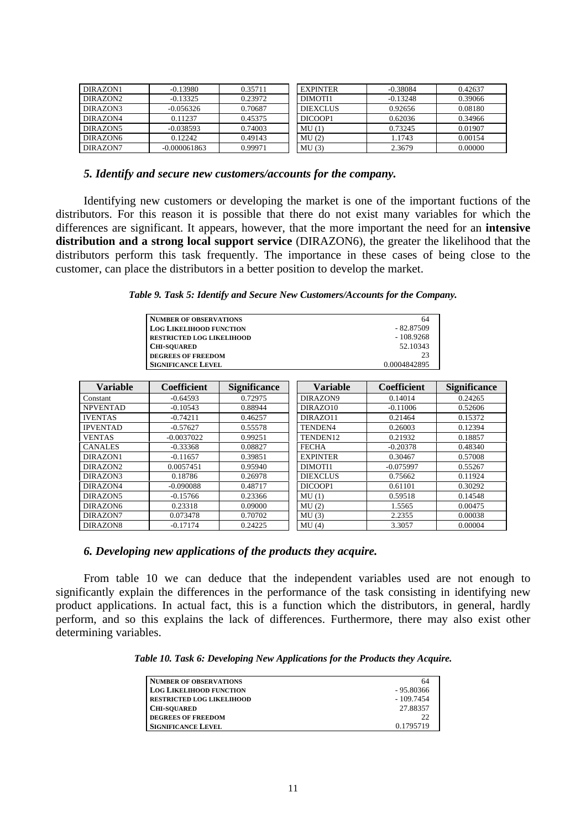| DIRAZON1 | $-0.13980$     | 0.35711 | <b>EXPINTER</b> | $-0.38084$ | 0.42637 |
|----------|----------------|---------|-----------------|------------|---------|
| DIRAZON2 | $-0.13325$     | 0.23972 | DIMOTI1         | $-0.13248$ | 0.39066 |
| DIRAZON3 | $-0.056326$    | 0.70687 | <b>DIEXCLUS</b> | 0.92656    | 0.08180 |
| DIRAZON4 | 0.11237        | 0.45375 | DICOOP1         | 0.62036    | 0.34966 |
| DIRAZON5 | $-0.038593$    | 0.74003 | MU(1)           | 0.73245    | 0.01907 |
| DIRAZON6 | 0.12242        | 0.49143 | MU(2)           | 1.1743     | 0.00154 |
| DIRAZON7 | $-0.000061863$ | 0.99971 | MU(3)           | 2.3679     | 0.00000 |

## *5. Identify and secure new customers/accounts for the company.*

Identifying new customers or developing the market is one of the important fuctions of the distributors. For this reason it is possible that there do not exist many variables for which the differences are significant. It appears, however, that the more important the need for an **intensive distribution and a strong local support service** (DIRAZON6), the greater the likelihood that the distributors perform this task frequently. The importance in these cases of being close to the customer, can place the distributors in a better position to develop the market.

*Table 9. Task 5: Identify and Secure New Customers/Accounts for the Company.*

| <b>NUMBER OF OBSERVATIONS</b>    | 64           |
|----------------------------------|--------------|
| <b>LOG LIKELIHOOD FUNCTION</b>   | - 82.87509   |
| <b>RESTRICTED LOG LIKELIHOOD</b> | $-108.9268$  |
| <b>CHI-SOUARED</b>               | 52.10343     |
| <b>DEGREES OF FREEDOM</b>        |              |
| <b>SIGNIFICANCE LEVEL</b>        | 0.0004842895 |

| <b>Variable</b> | <b>Coefficient</b> | <b>Significance</b> | <b>Variable</b> | Coefficient | <b>Significance</b> |
|-----------------|--------------------|---------------------|-----------------|-------------|---------------------|
| Constant        | $-0.64593$         | 0.72975             | DIRAZON9        | 0.14014     | 0.24265             |
| <b>NPVENTAD</b> | $-0.10543$         | 0.88944             | DIRAZO10        | $-0.11006$  | 0.52606             |
| <b>IVENTAS</b>  | $-0.74211$         | 0.46257             | DIRAZ011        | 0.21464     | 0.15372             |
| <b>IPVENTAD</b> | $-0.57627$         | 0.55578             | TENDEN4         | 0.26003     | 0.12394             |
| <b>VENTAS</b>   | $-0.0037022$       | 0.99251             | TENDEN12        | 0.21932     | 0.18857             |
| <b>CANALES</b>  | $-0.33368$         | 0.08827             | <b>FECHA</b>    | $-0.20378$  | 0.48340             |
| DIRAZON1        | $-0.11657$         | 0.39851             | <b>EXPINTER</b> | 0.30467     | 0.57008             |
| DIRAZON2        | 0.0057451          | 0.95940             | DIMOTI1         | $-0.075997$ | 0.55267             |
| DIRAZON3        | 0.18786            | 0.26978             | <b>DIEXCLUS</b> | 0.75662     | 0.11924             |
| DIRAZON4        | $-0.090088$        | 0.48717             | DICOOP1         | 0.61101     | 0.30292             |
| DIRAZON5        | $-0.15766$         | 0.23366             | MU(1)           | 0.59518     | 0.14548             |
| DIRAZON6        | 0.23318            | 0.09000             | MU(2)           | 1.5565      | 0.00475             |
| DIRAZON7        | 0.073478           | 0.70702             | MU(3)           | 2.2355      | 0.00038             |
| DIRAZON8        | $-0.17174$         | 0.24225             | MU(4)           | 3.3057      | 0.00004             |

## *6. Developing new applications of the products they acquire.*

From table 10 we can deduce that the independent variables used are not enough to significantly explain the differences in the performance of the task consisting in identifying new product applications. In actual fact, this is a function which the distributors, in general, hardly perform, and so this explains the lack of differences. Furthermore, there may also exist other determining variables.

*Table 10. Task 6: Developing New Applications for the Products they Acquire.*

| <b>NUMBER OF OBSERVATIONS</b>    | 64          |
|----------------------------------|-------------|
| <b>LOG LIKELIHOOD FUNCTION</b>   | - 95.80366  |
| <b>RESTRICTED LOG LIKELIHOOD</b> | $-109.7454$ |
| <b>CHI-SOUARED</b>               | 27.88357    |
| <b>DEGREES OF FREEDOM</b>        | 22          |
| <b>SIGNIFICANCE LEVEL</b>        | 0.1795719   |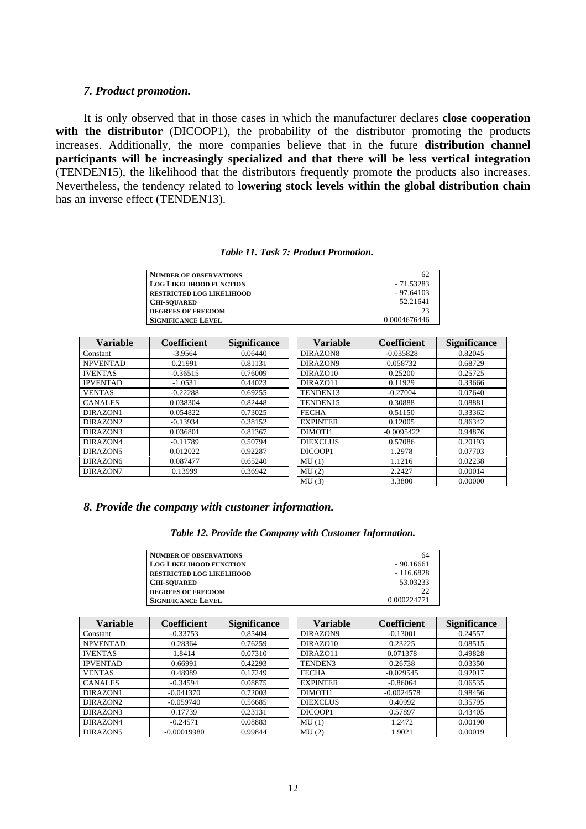#### *7. Product promotion.*

It is only observed that in those cases in which the manufacturer declares **close cooperation** with the distributor (DICOOP1), the probability of the distributor promoting the products increases. Additionally, the more companies believe that in the future **distribution channel participants will be increasingly specialized and that there will be less vertical integration** (TENDEN15), the likelihood that the distributors frequently promote the products also increases. Nevertheless, the tendency related to **lowering stock levels within the global distribution chain** has an inverse effect (TENDEN13).

#### *Table 11. Task 7: Product Promotion.*

| <b>NUMBER OF OBSERVATIONS</b>    |              |
|----------------------------------|--------------|
| <b>LOG LIKELIHOOD FUNCTION</b>   | $-71.53283$  |
| <b>RESTRICTED LOG LIKELIHOOD</b> | $-97.64103$  |
| <b>CHI-SOUARED</b>               | 52.21641     |
| <b>DEGREES OF FREEDOM</b>        | フ3           |
| <b>SIGNIFICANCE LEVEL</b>        | 0.0004676446 |

| <b>Variable</b> | <b>Coefficient</b> | <b>Significance</b> | <b>Variable</b> | <b>Coefficient</b> | <b>Significance</b> |
|-----------------|--------------------|---------------------|-----------------|--------------------|---------------------|
| Constant        | $-3.9564$          | 0.06440             | DIRAZON8        | $-0.035828$        | 0.82045             |
| <b>NPVENTAD</b> | 0.21991            | 0.81131             | DIRAZON9        | 0.058732           | 0.68729             |
| <b>IVENTAS</b>  | $-0.36515$         | 0.76009             | DIRAZO10        | 0.25200            | 0.25725             |
| <b>IPVENTAD</b> | $-1.0531$          | 0.44023             | DIRAZ011        | 0.11929            | 0.33666             |
| <b>VENTAS</b>   | $-0.22288$         | 0.69255             | TENDEN13        | $-0.27004$         | 0.07640             |
| <b>CANALES</b>  | 0.038304           | 0.82448             | TENDEN15        | 0.30888            | 0.08881             |
| DIRAZON1        | 0.054822           | 0.73025             | <b>FECHA</b>    | 0.51150            | 0.33362             |
| DIRAZON2        | $-0.13934$         | 0.38152             | <b>EXPINTER</b> | 0.12005            | 0.86342             |
| DIRAZON3        | 0.036801           | 0.81367             | DIMOTI1         | $-0.0095422$       | 0.94876             |
| DIRAZON4        | $-0.11789$         | 0.50794             | <b>DIEXCLUS</b> | 0.57086            | 0.20193             |
| DIRAZON5        | 0.012022           | 0.92287             | DICOOP1         | 1.2978             | 0.07703             |
| DIRAZON6        | 0.087477           | 0.65240             | MU(1)           | 1.1216             | 0.02238             |
| DIRAZON7        | 0.13999            | 0.36942             | MU(2)           | 2.2427             | 0.00014             |
|                 |                    |                     | MU(3)           | 3.3800             | 0.00000             |

#### *8. Provide the company with customer information.*

*Table 12. Provide the Company with Customer Information.*

| <b>NUMBER OF OBSERVATIONS</b>    | 64          |
|----------------------------------|-------------|
| <b>LOG LIKELIHOOD FUNCTION</b>   | $-90.16661$ |
| <b>RESTRICTED LOG LIKELIHOOD</b> | $-116.6828$ |
| <b>CHI-SOUARED</b>               | 53.03233    |
| <b>DEGREES OF FREEDOM</b>        | 22          |
| <b>SIGNIFICANCE LEVEL</b>        | 0.000224771 |

| <b>Variable</b> | <b>Coefficient</b> | <b>Significance</b> | <b>Variable</b> | <b>Coefficient</b> | <b>Significance</b> |
|-----------------|--------------------|---------------------|-----------------|--------------------|---------------------|
| Constant        | $-0.33753$         | 0.85404             | DIRAZON9        | $-0.13001$         | 0.24557             |
| <b>NPVENTAD</b> | 0.28364            | 0.76259             | DIRAZO10        | 0.23225            | 0.08515             |
| <b>IVENTAS</b>  | 1.8414             | 0.07310             | DIRAZ011        | 0.071378           | 0.49828             |
| <b>IPVENTAD</b> | 0.66991            | 0.42293             | TENDEN3         | 0.26738            | 0.03350             |
| <b>VENTAS</b>   | 0.48989            | 0.17249             | <b>FECHA</b>    | $-0.029545$        | 0.92017             |
| <b>CANALES</b>  | $-0.34594$         | 0.08875             | <b>EXPINTER</b> | $-0.86064$         | 0.06535             |
| DIRAZON1        | $-0.041370$        | 0.72003             | DIMOTI1         | $-0.0024578$       | 0.98456             |
| DIRAZON2        | $-0.059740$        | 0.56685             | <b>DIEXCLUS</b> | 0.40992            | 0.35795             |
| DIRAZON3        | 0.17739            | 0.23131             | DICOOP1         | 0.57897            | 0.43405             |
| DIRAZON4        | $-0.24571$         | 0.08883             | MU(1)           | 1.2472             | 0.00190             |
| DIRAZON5        | $-0.00019980$      | 0.99844             | MU(2)           | 1.9021             | 0.00019             |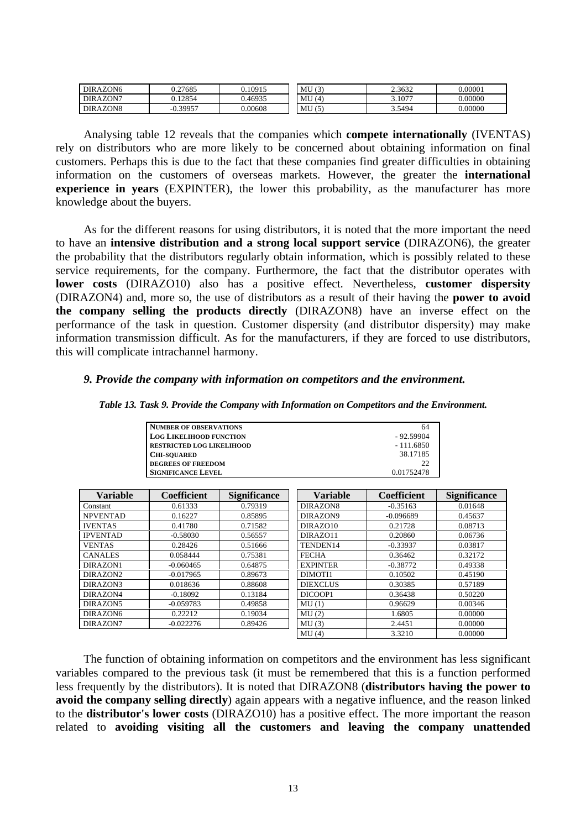| DIRAZON6 | 0.27685    | 0.10915 | MU(3) | 2.3632 | 0.00001 |
|----------|------------|---------|-------|--------|---------|
| DIRAZON7 | .12854     | 0.46935 | MU(4) | 3.1077 | 0.00000 |
| DIRAZON8 | $-0.39957$ | 0.00608 | MU(5) | 3.5494 | 0.00000 |

Analysing table 12 reveals that the companies which **compete internationally** (IVENTAS) rely on distributors who are more likely to be concerned about obtaining information on final customers. Perhaps this is due to the fact that these companies find greater difficulties in obtaining information on the customers of overseas markets. However, the greater the **international experience in years** (EXPINTER), the lower this probability, as the manufacturer has more knowledge about the buyers.

As for the different reasons for using distributors, it is noted that the more important the need to have an **intensive distribution and a strong local support service** (DIRAZON6), the greater the probability that the distributors regularly obtain information, which is possibly related to these service requirements, for the company. Furthermore, the fact that the distributor operates with **lower costs** (DIRAZO10) also has a positive effect. Nevertheless, **customer dispersity** (DIRAZON4) and, more so, the use of distributors as a result of their having the **power to avoid the company selling the products directly** (DIRAZON8) have an inverse effect on the performance of the task in question. Customer dispersity (and distributor dispersity) may make information transmission difficult. As for the manufacturers, if they are forced to use distributors, this will complicate intrachannel harmony.

#### *9. Provide the company with information on competitors and the environment.*

| <b>NUMBER OF OBSERVATIONS</b>    | 64          |
|----------------------------------|-------------|
| <b>LOG LIKELIHOOD FUNCTION</b>   | $-92.59904$ |
| <b>RESTRICTED LOG LIKELIHOOD</b> | $-111.6850$ |
| <b>CHI-SOUARED</b>               | 38.17185    |
| <b>DEGREES OF FREEDOM</b>        | 22          |
| <b>SIGNIFICANCE LEVEL</b>        | 0.01752478  |

*Table 13. Task 9. Provide the Company with Information on Competitors and the Environment.*

| <b>Variable</b> | <b>Coefficient</b> | <b>Significance</b> | <b>Variable</b> | <b>Coefficient</b> | <b>Significance</b> |
|-----------------|--------------------|---------------------|-----------------|--------------------|---------------------|
| Constant        | 0.61333            | 0.79319             | DIRAZON8        | $-0.35163$         | 0.01648             |
| <b>NPVENTAD</b> | 0.16227            | 0.85895             | DIRAZON9        | $-0.096689$        | 0.45637             |
| <b>IVENTAS</b>  | 0.41780            | 0.71582             | DIRAZO10        | 0.21728            | 0.08713             |
| <b>IPVENTAD</b> | $-0.58030$         | 0.56557             | DIRAZ011        | 0.20860            | 0.06736             |
| <b>VENTAS</b>   | 0.28426            | 0.51666             | TENDEN14        | $-0.33937$         | 0.03817             |
| <b>CANALES</b>  | 0.058444           | 0.75381             | <b>FECHA</b>    | 0.36462            | 0.32172             |
| DIRAZON1        | $-0.060465$        | 0.64875             | <b>EXPINTER</b> | $-0.38772$         | 0.49338             |
| DIRAZON2        | $-0.017965$        | 0.89673             | DIMOTI1         | 0.10502            | 0.45190             |
| DIRAZON3        | 0.018636           | 0.88608             | <b>DIEXCLUS</b> | 0.30385            | 0.57189             |
| DIRAZON4        | $-0.18092$         | 0.13184             | DICOOP1         | 0.36438            | 0.50220             |
| DIRAZON5        | $-0.059783$        | 0.49858             | MU(1)           | 0.96629            | 0.00346             |
| DIRAZON6        | 0.22212            | 0.19034             | MU(2)           | 1.6805             | 0.00000             |
| DIRAZON7        | $-0.022276$        | 0.89426             | MU(3)           | 2.4451             | 0.00000             |
|                 |                    |                     | MU(4)           | 3.3210             | 0.00000             |

The function of obtaining information on competitors and the environment has less significant variables compared to the previous task (it must be remembered that this is a function performed less frequently by the distributors). It is noted that DIRAZON8 (**distributors having the power to avoid the company selling directly**) again appears with a negative influence, and the reason linked to the **distributor's lower costs** (DIRAZO10) has a positive effect. The more important the reason related to **avoiding visiting all the customers and leaving the company unattended**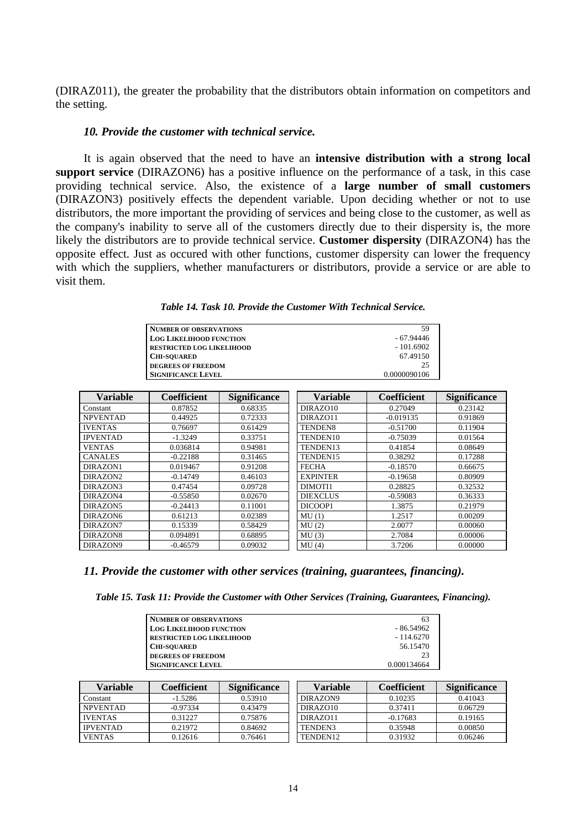(DIRAZ011), the greater the probability that the distributors obtain information on competitors and the setting.

#### *10. Provide the customer with technical service.*

It is again observed that the need to have an **intensive distribution with a strong local support service** (DIRAZON6) has a positive influence on the performance of a task, in this case providing technical service. Also, the existence of a **large number of small customers** (DIRAZON3) positively effects the dependent variable. Upon deciding whether or not to use distributors, the more important the providing of services and being close to the customer, as well as the company's inability to serve all of the customers directly due to their dispersity is, the more likely the distributors are to provide technical service. **Customer dispersity** (DIRAZON4) has the opposite effect. Just as occured with other functions, customer dispersity can lower the frequency with which the suppliers, whether manufacturers or distributors, provide a service or are able to visit them.

| <b>NUMBER OF OBSERVATIONS</b>    | 59           |
|----------------------------------|--------------|
| <b>LOG LIKELIHOOD FUNCTION</b>   | - 67.94446   |
| <b>RESTRICTED LOG LIKELIHOOD</b> | $-101.6902$  |
| <b>CHI-SOUARED</b>               | 67.49150     |
| <b>DEGREES OF FREEDOM</b>        | 25           |
| <b>SIGNIFICANCE LEVEL</b>        | 0.0000090106 |

| <b>Variable</b> | <b>Coefficient</b> | <b>Significance</b> | <b>Variable</b> | <b>Coefficient</b> | <b>Significance</b> |
|-----------------|--------------------|---------------------|-----------------|--------------------|---------------------|
| Constant        | 0.87852            | 0.68335             | DIRAZO10        | 0.27049            | 0.23142             |
| <b>NPVENTAD</b> | 0.44925            | 0.72333             | DIRAZ011        | $-0.019135$        | 0.91869             |
| <b>IVENTAS</b>  | 0.76697            | 0.61429             | TENDEN8         | $-0.51700$         | 0.11904             |
| <b>IPVENTAD</b> | $-1.3249$          | 0.33751             | TENDEN10        | $-0.75039$         | 0.01564             |
| <b>VENTAS</b>   | 0.036814           | 0.94981             | TENDEN13        | 0.41854            | 0.08649             |
| <b>CANALES</b>  | $-0.22188$         | 0.31465             | TENDEN15        | 0.38292            | 0.17288             |
| DIRAZON1        | 0.019467           | 0.91208             | <b>FECHA</b>    | $-0.18570$         | 0.66675             |
| DIRAZON2        | $-0.14749$         | 0.46103             | <b>EXPINTER</b> | $-0.19658$         | 0.80909             |
| DIRAZON3        | 0.47454            | 0.09728             | DIMOTI1         | 0.28825            | 0.32532             |
| DIRAZON4        | $-0.55850$         | 0.02670             | <b>DIEXCLUS</b> | $-0.59083$         | 0.36333             |
| DIRAZON5        | $-0.24413$         | 0.11001             | DICOOP1         | 1.3875             | 0.21979             |
| DIRAZON6        | 0.61213            | 0.02389             | MU(1)           | 1.2517             | 0.00209             |
| DIRAZON7        | 0.15339            | 0.58429             | MU(2)           | 2.0077             | 0.00060             |
| DIRAZON8        | 0.094891           | 0.68895             | MU(3)           | 2.7084             | 0.00006             |
| DIRAZON9        | $-0.46579$         | 0.09032             | MU(4)           | 3.7206             | 0.00000             |

### *11. Provide the customer with other services (training, guarantees, financing).*

*Table 15. Task 11: Provide the Customer with Other Services (Training, Guarantees, Financing).*

| <b>NUMBER OF OBSERVATIONS</b>    | 63          |
|----------------------------------|-------------|
| <b>LOG LIKELIHOOD FUNCTION</b>   | - 86.54962  |
| <b>RESTRICTED LOG LIKELIHOOD</b> | $-114.6270$ |
| <b>CHI-SOUARED</b>               | 56.15470    |
| <b>DEGREES OF FREEDOM</b>        | 23          |
| <b>SIGNIFICANCE LEVEL</b>        | 0.000134664 |

| Variable        | Coefficient | <b>Significance</b> | Variable | Coefficient | <b>Significance</b> |
|-----------------|-------------|---------------------|----------|-------------|---------------------|
| Constant        | $-1.5286$   | 0.53910             | DIRAZON9 | 0.10235     | 0.41043             |
| <b>NPVENTAD</b> | $-0.97334$  | 0.43479             | DIRAZO10 | 0.37411     | 0.06729             |
| <b>IVENTAS</b>  | 0.31227     | 0.75876             | DIRAZ011 | $-0.17683$  | 0.19165             |
| <b>IPVENTAD</b> | 0.21972     | 0.84692             | TENDEN3  | 0.35948     | 0.00850             |
| <b>VENTAS</b>   | 0.12616     | 0.76461             | TENDEN12 | 0.31932     | 0.06246             |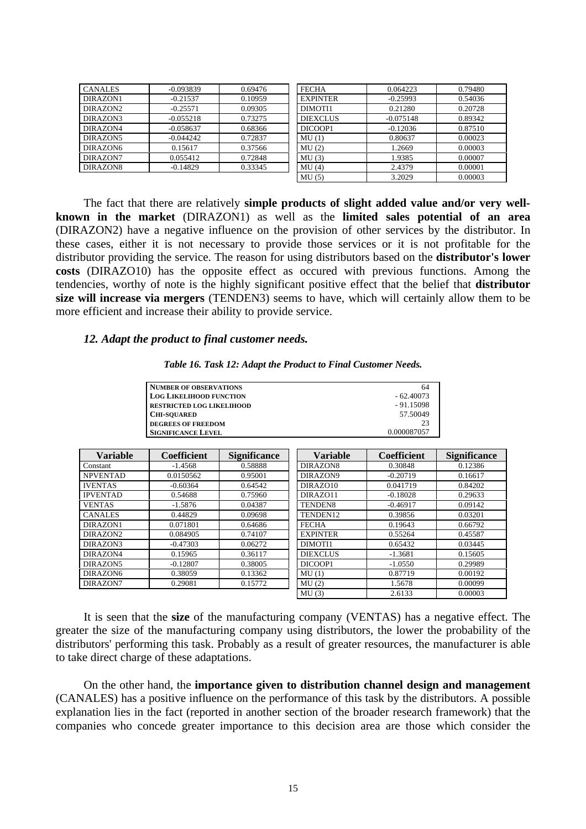| <b>CANALES</b>       | $-0.093839$ | 0.69476 | <b>FECHA</b>        | 0.064223    | 0.79480 |
|----------------------|-------------|---------|---------------------|-------------|---------|
| DIRAZON1             | $-0.21537$  | 0.10959 | <b>EXPINTER</b>     | $-0.25993$  | 0.54036 |
| DIRAZON <sub>2</sub> | $-0.25571$  | 0.09305 | DIMOTH <sub>1</sub> | 0.21280     | 0.20728 |
| DIRAZON3             | $-0.055218$ | 0.73275 | <b>DIEXCLUS</b>     | $-0.075148$ | 0.89342 |
| DIRAZON4             | $-0.058637$ | 0.68366 | DICOOP1             | $-0.12036$  | 0.87510 |
| DIRAZON5             | $-0.044242$ | 0.72837 | MU(1)               | 0.80637     | 0.00023 |
| DIRAZON6             | 0.15617     | 0.37566 | MU(2)               | 1.2669      | 0.00003 |
| DIRAZON7             | 0.055412    | 0.72848 | MU(3)               | 1.9385      | 0.00007 |
| DIRAZON8             | $-0.14829$  | 0.33345 | MU(4)               | 2.4379      | 0.00001 |
|                      |             |         | MU(5)               | 3.2029      | 0.00003 |

The fact that there are relatively **simple products of slight added value and/or very wellknown in the market** (DIRAZON1) as well as the **limited sales potential of an area** (DIRAZON2) have a negative influence on the provision of other services by the distributor. In these cases, either it is not necessary to provide those services or it is not profitable for the distributor providing the service. The reason for using distributors based on the **distributor's lower costs** (DIRAZO10) has the opposite effect as occured with previous functions. Among the tendencies, worthy of note is the highly significant positive effect that the belief that **distributor size will increase via mergers** (TENDEN3) seems to have, which will certainly allow them to be more efficient and increase their ability to provide service.

#### *12. Adapt the product to final customer needs.*

|  |  |  | Table 16. Task 12: Adapt the Product to Final Customer Needs. |
|--|--|--|---------------------------------------------------------------|
|--|--|--|---------------------------------------------------------------|

| NUMBER OF OBSERVATIONS           | 64          |
|----------------------------------|-------------|
| <b>LOG LIKELIHOOD FUNCTION</b>   | $-62.40073$ |
| <b>RESTRICTED LOG LIKELIHOOD</b> | $-91.15098$ |
| <b>CHI-SOUARED</b>               | 57.50049    |
| <b>DEGREES OF FREEDOM</b>        | 23          |
| <b>SIGNIFICANCE LEVEL</b>        | 0.000087057 |

| <b>Variable</b> | <b>Coefficient</b> | <b>Significance</b> | <b>Variable</b>     | Coefficient | <b>Significance</b> |
|-----------------|--------------------|---------------------|---------------------|-------------|---------------------|
| Constant        | $-1.4568$          | 0.58888             | DIRAZON8            | 0.30848     | 0.12386             |
| <b>NPVENTAD</b> | 0.0150562          | 0.95001             | DIRAZON9            | $-0.20719$  | 0.16617             |
| <b>IVENTAS</b>  | $-0.60364$         | 0.64542             | DIRAZO10            | 0.041719    | 0.84202             |
| <b>IPVENTAD</b> | 0.54688            | 0.75960             | DIRAZ011            | $-0.18028$  | 0.29633             |
| <b>VENTAS</b>   | $-1.5876$          | 0.04387             | TENDEN <sub>8</sub> | $-0.46917$  | 0.09142             |
| <b>CANALES</b>  | 0.44829            | 0.09698             | TENDEN12            | 0.39856     | 0.03201             |
| DIRAZON1        | 0.071801           | 0.64686             | <b>FECHA</b>        | 0.19643     | 0.66792             |
| DIRAZON2        | 0.084905           | 0.74107             | <b>EXPINTER</b>     | 0.55264     | 0.45587             |
| DIRAZON3        | $-0.47303$         | 0.06272             | DIMOTI1             | 0.65432     | 0.03445             |
| DIRAZON4        | 0.15965            | 0.36117             | <b>DIEXCLUS</b>     | $-1.3681$   | 0.15605             |
| DIRAZON5        | $-0.12807$         | 0.38005             | DICOOP1             | $-1.0550$   | 0.29989             |
| DIRAZON6        | 0.38059            | 0.13362             | MU(1)               | 0.87719     | 0.00192             |
| DIRAZON7        | 0.29081            | 0.15772             | MU(2)               | 1.5678      | 0.00099             |
|                 |                    |                     | MU(3)               | 2.6133      | 0.00003             |

It is seen that the **size** of the manufacturing company (VENTAS) has a negative effect. The greater the size of the manufacturing company using distributors, the lower the probability of the distributors' performing this task. Probably as a result of greater resources, the manufacturer is able to take direct charge of these adaptations.

On the other hand, the **importance given to distribution channel design and management** (CANALES) has a positive influence on the performance of this task by the distributors. A possible explanation lies in the fact (reported in another section of the broader research framework) that the companies who concede greater importance to this decision area are those which consider the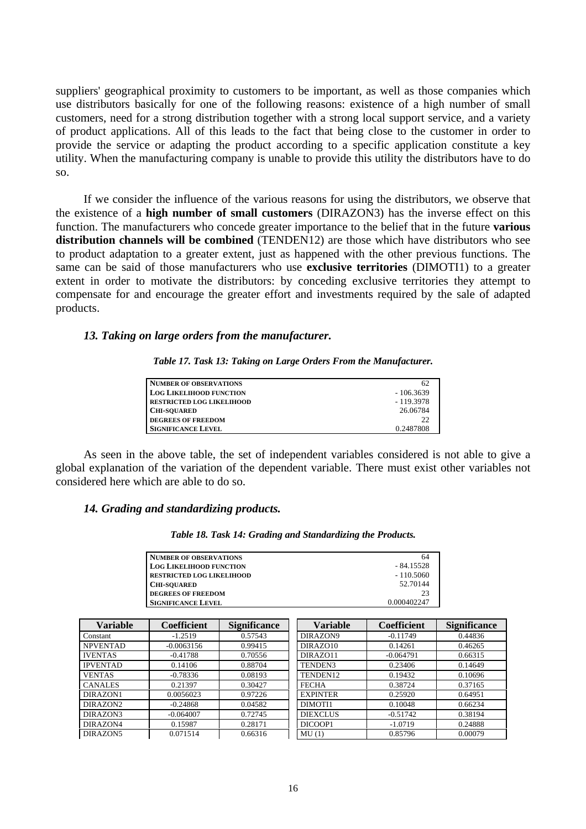suppliers' geographical proximity to customers to be important, as well as those companies which use distributors basically for one of the following reasons: existence of a high number of small customers, need for a strong distribution together with a strong local support service, and a variety of product applications. All of this leads to the fact that being close to the customer in order to provide the service or adapting the product according to a specific application constitute a key utility. When the manufacturing company is unable to provide this utility the distributors have to do so.

If we consider the influence of the various reasons for using the distributors, we observe that the existence of a **high number of small customers** (DIRAZON3) has the inverse effect on this function. The manufacturers who concede greater importance to the belief that in the future **various distribution channels will be combined** (TENDEN12) are those which have distributors who see to product adaptation to a greater extent, just as happened with the other previous functions. The same can be said of those manufacturers who use **exclusive territories** (DIMOTI1) to a greater extent in order to motivate the distributors: by conceding exclusive territories they attempt to compensate for and encourage the greater effort and investments required by the sale of adapted products.

## *13. Taking on large orders from the manufacturer.*

*Table 17. Task 13: Taking on Large Orders From the Manufacturer.*

| NUMBER OF OBSERVATIONS           | -62         |
|----------------------------------|-------------|
| <b>LOG LIKELIHOOD FUNCTION</b>   | $-106.3639$ |
| <b>RESTRICTED LOG LIKELIHOOD</b> | $-119.3978$ |
| <b>CHI-SOUARED</b>               | 26.06784    |
| <b>DEGREES OF FREEDOM</b>        | 22          |
| <b>SIGNIFICANCE LEVEL</b>        | 0.2487808   |

As seen in the above table, the set of independent variables considered is not able to give a global explanation of the variation of the dependent variable. There must exist other variables not considered here which are able to do so.

## *14. Grading and standardizing products.*

| NUMBER OF OBSERVATIONS           | 64          |
|----------------------------------|-------------|
| <b>LOG LIKELIHOOD FUNCTION</b>   | $-84.15528$ |
| <b>RESTRICTED LOG LIKELIHOOD</b> | $-110.5060$ |
| <b>CHI-SOUARED</b>               | 52.70144    |
| <b>DEGREES OF FREEDOM</b>        | 23          |
| <b>SIGNIFICANCE LEVEL</b>        | 0.000402247 |

| <b>Variable</b>      | <b>Coefficient</b> | <b>Significance</b> | <b>Variable</b>     | <b>Coefficient</b> | <b>Significance</b> |
|----------------------|--------------------|---------------------|---------------------|--------------------|---------------------|
| Constant             | $-1.2519$          | 0.57543             | DIRAZON9            | $-0.11749$         | 0.44836             |
| <b>NPVENTAD</b>      | $-0.0063156$       | 0.99415             | DIRAZO10            | 0.14261            | 0.46265             |
| <b>IVENTAS</b>       | $-0.41788$         | 0.70556             | DIRAZ011            | $-0.064791$        | 0.66315             |
| <b>IPVENTAD</b>      | 0.14106            | 0.88704             | TENDEN3             | 0.23406            | 0.14649             |
| <b>VENTAS</b>        | $-0.78336$         | 0.08193             | TENDEN12            | 0.19432            | 0.10696             |
| <b>CANALES</b>       | 0.21397            | 0.30427             | <b>FECHA</b>        | 0.38724            | 0.37165             |
| DIRAZON1             | 0.0056023          | 0.97226             | <b>EXPINTER</b>     | 0.25920            | 0.64951             |
| DIRAZON2             | $-0.24868$         | 0.04582             | DIMOTH <sub>1</sub> | 0.10048            | 0.66234             |
| DIRAZON3             | $-0.064007$        | 0.72745             | <b>DIEXCLUS</b>     | $-0.51742$         | 0.38194             |
| DIRAZON4             | 0.15987            | 0.28171             | DICOOP1             | $-1.0719$          | 0.24888             |
| DIRAZON <sub>5</sub> | 0.071514           | 0.66316             | MU(1)               | 0.85796            | 0.00079             |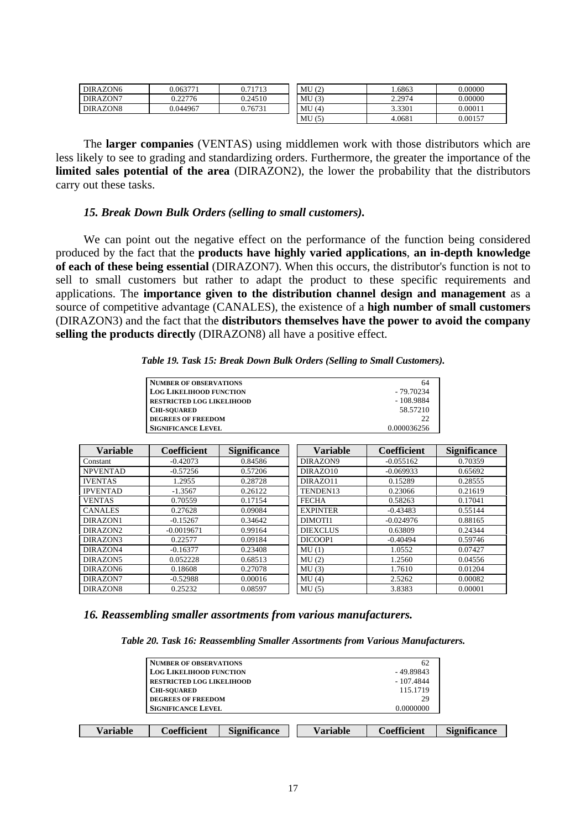| DIRAZON6 | 0.063771 | 0.71713 | MU(2) | .6863  | 0.00000 |
|----------|----------|---------|-------|--------|---------|
| DIRAZON7 | 0.22776  | 0.24510 | MU(3) | 2.2974 | 0.00000 |
| DIRAZON8 | 0.044967 | 0.76731 | MU(4) | 3.3301 | 0.00011 |
|          |          |         | MU(5) | 4.0681 | 0.00157 |

The **larger companies** (VENTAS) using middlemen work with those distributors which are less likely to see to grading and standardizing orders. Furthermore, the greater the importance of the **limited sales potential of the area** (DIRAZON2), the lower the probability that the distributors carry out these tasks.

## *15. Break Down Bulk Orders (selling to small customers).*

We can point out the negative effect on the performance of the function being considered produced by the fact that the **products have highly varied applications**, **an in-depth knowledge of each of these being essential** (DIRAZON7). When this occurs, the distributor's function is not to sell to small customers but rather to adapt the product to these specific requirements and applications. The **importance given to the distribution channel design and management** as a source of competitive advantage (CANALES), the existence of a **high number of small customers** (DIRAZON3) and the fact that the **distributors themselves have the power to avoid the company selling the products directly** (DIRAZON8) all have a positive effect.

|  |  |  |  |  |  |  |  |  | Table 19. Task 15: Break Down Bulk Orders (Selling to Small Customers). |  |
|--|--|--|--|--|--|--|--|--|-------------------------------------------------------------------------|--|
|--|--|--|--|--|--|--|--|--|-------------------------------------------------------------------------|--|

| <b>NUMBER OF OBSERVATIONS</b>    | 64          |
|----------------------------------|-------------|
| <b>LOG LIKELIHOOD FUNCTION</b>   | - 79.70234  |
| <b>RESTRICTED LOG LIKELIHOOD</b> | $-108.9884$ |
| <b>CHI-SOUARED</b>               | 58.57210    |
| <b>DEGREES OF FREEDOM</b>        | 22          |
| <b>SIGNIFICANCE LEVEL</b>        | 0.000036256 |

| <b>Variable</b> | <b>Coefficient</b> | <b>Significance</b> | <b>Variable</b> | Coefficient | <b>Significance</b> |
|-----------------|--------------------|---------------------|-----------------|-------------|---------------------|
| Constant        | $-0.42073$         | 0.84586             | DIRAZON9        | $-0.055162$ | 0.70359             |
| <b>NPVENTAD</b> | $-0.57256$         | 0.57206             | DIRAZO10        | $-0.069933$ | 0.65692             |
| <b>IVENTAS</b>  | 1.2955             | 0.28728             | DIRAZ011        | 0.15289     | 0.28555             |
| <b>IPVENTAD</b> | $-1.3567$          | 0.26122             | TENDEN13        | 0.23066     | 0.21619             |
| <b>VENTAS</b>   | 0.70559            | 0.17154             | <b>FECHA</b>    | 0.58263     | 0.17041             |
| <b>CANALES</b>  | 0.27628            | 0.09084             | <b>EXPINTER</b> | $-0.43483$  | 0.55144             |
| DIRAZON1        | $-0.15267$         | 0.34642             | DIMOTI1         | $-0.024976$ | 0.88165             |
| DIRAZON2        | $-0.0019671$       | 0.99164             | <b>DIEXCLUS</b> | 0.63809     | 0.24344             |
| DIRAZON3        | 0.22577            | 0.09184             | DICOOP1         | $-0.40494$  | 0.59746             |
| DIRAZON4        | $-0.16377$         | 0.23408             | MU(1)           | 1.0552      | 0.07427             |
| DIRAZON5        | 0.052228           | 0.68513             | MU(2)           | 1.2560      | 0.04556             |
| DIRAZON6        | 0.18608            | 0.27078             | MU(3)           | 1.7610      | 0.01204             |
| DIRAZON7        | $-0.52988$         | 0.00016             | MU(4)           | 2.5262      | 0.00082             |
| DIRAZON8        | 0.25232            | 0.08597             | MU(5)           | 3.8383      | 0.00001             |

## *16. Reassembling smaller assortments from various manufacturers.*

*Table 20. Task 16: Reassembling Smaller Assortments from Various Manufacturers.*

| Variable | Coefficient                      | <b>Significance</b> | Variable    | <b>Coefficient</b> | <b>Significance</b> |  |
|----------|----------------------------------|---------------------|-------------|--------------------|---------------------|--|
|          |                                  |                     |             |                    |                     |  |
|          | <b>SIGNIFICANCE LEVEL</b>        |                     | 0.0000000   |                    |                     |  |
|          | <b>DEGREES OF FREEDOM</b>        |                     |             |                    |                     |  |
|          | <b>CHI-SOUARED</b>               |                     |             |                    |                     |  |
|          | <b>RESTRICTED LOG LIKELIHOOD</b> |                     |             |                    |                     |  |
|          | <b>LOG LIKELIHOOD FUNCTION</b>   |                     | $-49.89843$ |                    |                     |  |
|          | <b>NUMBER OF OBSERVATIONS</b>    |                     |             | 62                 |                     |  |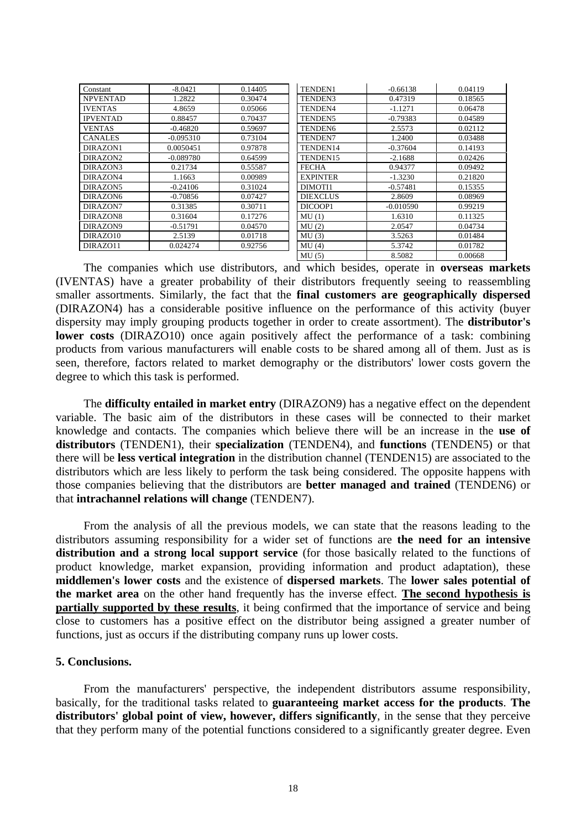| Constant        | $-8.0421$   | 0.14405 | TENDEN1             | $-0.66138$  | 0.04119 |
|-----------------|-------------|---------|---------------------|-------------|---------|
| <b>NPVENTAD</b> | 1.2822      | 0.30474 | TENDEN3             | 0.47319     | 0.18565 |
| <b>IVENTAS</b>  | 4.8659      | 0.05066 | TENDEN4             | $-1.1271$   | 0.06478 |
| <b>IPVENTAD</b> | 0.88457     | 0.70437 | TENDEN <sub>5</sub> | $-0.79383$  | 0.04589 |
| <b>VENTAS</b>   | $-0.46820$  | 0.59697 | TENDEN <sub>6</sub> | 2.5573      | 0.02112 |
| <b>CANALES</b>  | $-0.095310$ | 0.73104 | <b>TENDEN7</b>      | 1.2400      | 0.03488 |
| DIRAZON1        | 0.0050451   | 0.97878 | TENDEN14            | $-0.37604$  | 0.14193 |
| DIRAZON2        | $-0.089780$ | 0.64599 | TENDEN15            | $-2.1688$   | 0.02426 |
| DIRAZON3        | 0.21734     | 0.55587 | <b>FECHA</b>        | 0.94377     | 0.09492 |
| DIRAZON4        | 1.1663      | 0.00989 | <b>EXPINTER</b>     | $-1.3230$   | 0.21820 |
| DIRAZON5        | $-0.24106$  | 0.31024 | DIMOTI1             | $-0.57481$  | 0.15355 |
| DIRAZON6        | $-0.70856$  | 0.07427 | <b>DIEXCLUS</b>     | 2.8609      | 0.08969 |
| DIRAZON7        | 0.31385     | 0.30711 | DICOOP1             | $-0.010590$ | 0.99219 |
| DIRAZON8        | 0.31604     | 0.17276 | MU(1)               | 1.6310      | 0.11325 |
| DIRAZON9        | $-0.51791$  | 0.04570 | MU(2)               | 2.0547      | 0.04734 |
| DIRAZO10        | 2.5139      | 0.01718 | MU(3)               | 3.5263      | 0.01484 |
| DIRAZ011        | 0.024274    | 0.92756 | MU(4)               | 5.3742      | 0.01782 |
|                 |             |         | MU(5)               | 8.5082      | 0.00668 |

The companies which use distributors, and which besides, operate in **overseas markets** (IVENTAS) have a greater probability of their distributors frequently seeing to reassembling smaller assortments. Similarly, the fact that the **final customers are geographically dispersed** (DIRAZON4) has a considerable positive influence on the performance of this activity (buyer dispersity may imply grouping products together in order to create assortment). The **distributor's lower costs** (DIRAZO10) once again positively affect the performance of a task: combining products from various manufacturers will enable costs to be shared among all of them. Just as is seen, therefore, factors related to market demography or the distributors' lower costs govern the degree to which this task is performed.

The **difficulty entailed in market entry** (DIRAZON9) has a negative effect on the dependent variable. The basic aim of the distributors in these cases will be connected to their market knowledge and contacts. The companies which believe there will be an increase in the **use of distributors** (TENDEN1), their **specialization** (TENDEN4), and **functions** (TENDEN5) or that there will be **less vertical integration** in the distribution channel (TENDEN15) are associated to the distributors which are less likely to perform the task being considered. The opposite happens with those companies believing that the distributors are **better managed and trained** (TENDEN6) or that **intrachannel relations will change** (TENDEN7).

From the analysis of all the previous models, we can state that the reasons leading to the distributors assuming responsibility for a wider set of functions are **the need for an intensive distribution and a strong local support service** (for those basically related to the functions of product knowledge, market expansion, providing information and product adaptation), these **middlemen's lower costs** and the existence of **dispersed markets**. The **lower sales potential of the market area** on the other hand frequently has the inverse effect. **The second hypothesis is partially supported by these results**, it being confirmed that the importance of service and being close to customers has a positive effect on the distributor being assigned a greater number of functions, just as occurs if the distributing company runs up lower costs.

# **5. Conclusions.**

From the manufacturers' perspective, the independent distributors assume responsibility, basically, for the traditional tasks related to **guaranteeing market access for the products**. **The distributors' global point of view, however, differs significantly**, in the sense that they perceive that they perform many of the potential functions considered to a significantly greater degree. Even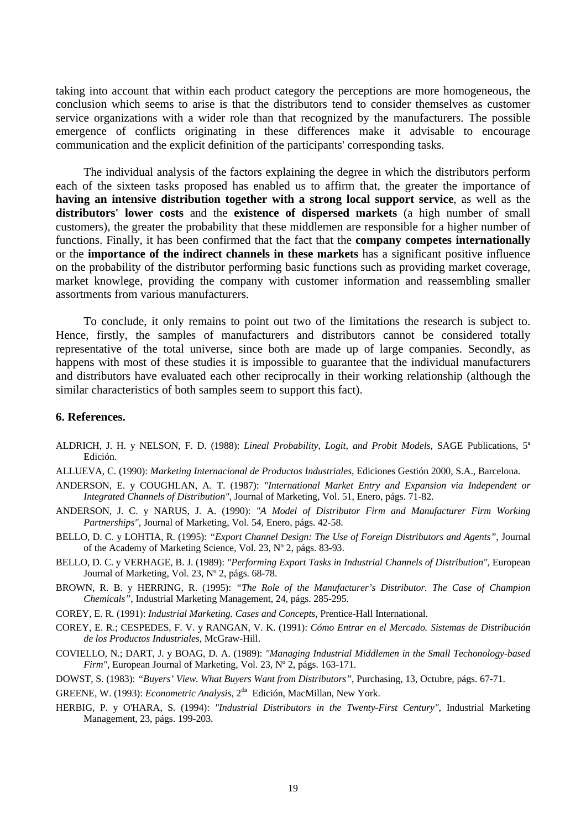taking into account that within each product category the perceptions are more homogeneous, the conclusion which seems to arise is that the distributors tend to consider themselves as customer service organizations with a wider role than that recognized by the manufacturers. The possible emergence of conflicts originating in these differences make it advisable to encourage communication and the explicit definition of the participants' corresponding tasks.

The individual analysis of the factors explaining the degree in which the distributors perform each of the sixteen tasks proposed has enabled us to affirm that, the greater the importance of **having an intensive distribution together with a strong local support service**, as well as the **distributors' lower costs** and the **existence of dispersed markets** (a high number of small customers), the greater the probability that these middlemen are responsible for a higher number of functions. Finally, it has been confirmed that the fact that the **company competes internationally** or the **importance of the indirect channels in these markets** has a significant positive influence on the probability of the distributor performing basic functions such as providing market coverage, market knowlege, providing the company with customer information and reassembling smaller assortments from various manufacturers.

To conclude, it only remains to point out two of the limitations the research is subject to. Hence, firstly, the samples of manufacturers and distributors cannot be considered totally representative of the total universe, since both are made up of large companies. Secondly, as happens with most of these studies it is impossible to guarantee that the individual manufacturers and distributors have evaluated each other reciprocally in their working relationship (although the similar characteristics of both samples seem to support this fact).

## **6. References.**

- ALDRICH, J. H. y NELSON, F. D. (1988): *Lineal Probability, Logit, and Probit Models*, SAGE Publications, 5ª Edición.
- ALLUEVA, C. (1990): *Marketing Internacional de Productos Industriales*, Ediciones Gestión 2000, S.A., Barcelona.
- ANDERSON, E. y COUGHLAN, A. T. (1987): *"International Market Entry and Expansion via Independent or Integrated Channels of Distribution"*, Journal of Marketing, Vol. 51, Enero, págs. 71-82.
- ANDERSON, J. C. y NARUS, J. A. (1990): *"A Model of Distributor Firm and Manufacturer Firm Working Partnerships"*, Journal of Marketing, Vol. 54, Enero, págs. 42-58.
- BELLO, D. C. y LOHTIA, R. (1995): *"Export Channel Design: The Use of Foreign Distributors and Agents"*, Journal of the Academy of Marketing Science, Vol. 23, Nº 2, págs. 83-93.
- BELLO, D. C. y VERHAGE, B. J. (1989): *"Performing Export Tasks in Industrial Channels of Distribution"*, European Journal of Marketing, Vol. 23, Nº 2, págs. 68-78.
- BROWN, R. B. y HERRING, R. (1995): *"The Role of the Manufacturer's Distributor. The Case of Champion Chemicals"*, Industrial Marketing Management, 24, págs. 285-295.
- COREY, E. R. (1991): *Industrial Marketing. Cases and Concepts*, Prentice-Hall International.
- COREY, E. R.; CESPEDES, F. V. y RANGAN, V. K. (1991): *Cómo Entrar en el Mercado. Sistemas de Distribución de los Productos Industriales*, McGraw-Hill.
- COVIELLO, N.; DART, J. y BOAG, D. A. (1989): *"Managing Industrial Middlemen in the Small Techonology-based Firm"*, European Journal of Marketing, Vol. 23, Nº 2, págs. 163-171.
- DOWST, S. (1983): *"Buyers' View. What Buyers Want from Distributors"*, Purchasing, 13, Octubre, págs. 67-71.
- GREENE, W. (1993): *Econometric Analysis*, 2da Edición, MacMillan, New York.
- HERBIG, P. y O'HARA, S. (1994): *"Industrial Distributors in the Twenty-First Century"*, Industrial Marketing Management, 23, págs. 199-203.